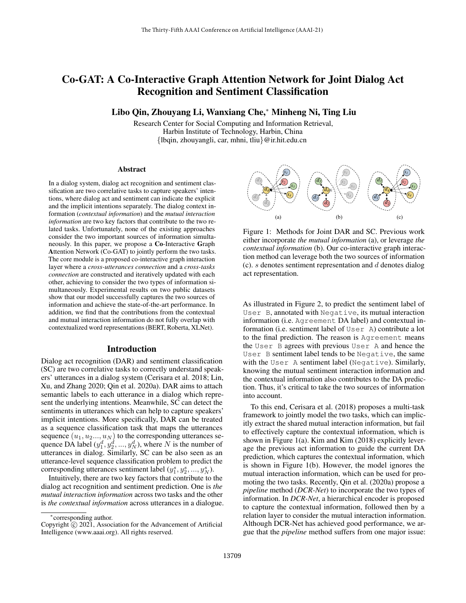# Co-GAT: A Co-Interactive Graph Attention Network for Joint Dialog Act Recognition and Sentiment Classification

Libo Qin, Zhouyang Li, Wanxiang Che,<sup>∗</sup> Minheng Ni, Ting Liu

Research Center for Social Computing and Information Retrieval, Harbin Institute of Technology, Harbin, China {lbqin, zhouyangli, car, mhni, tliu}@ir.hit.edu.cn

#### Abstract

In a dialog system, dialog act recognition and sentiment classification are two correlative tasks to capture speakers' intentions, where dialog act and sentiment can indicate the explicit and the implicit intentions separately. The dialog context information (*contextual information*) and the *mutual interaction information* are two key factors that contribute to the two related tasks. Unfortunately, none of the existing approaches consider the two important sources of information simultaneously. In this paper, we propose a Co-Interactive Graph Attention Network (Co-GAT) to jointly perform the two tasks. The core module is a proposed co-interactive graph interaction layer where a *cross-utterances connection* and a *cross-tasks connection* are constructed and iteratively updated with each other, achieving to consider the two types of information simultaneously. Experimental results on two public datasets show that our model successfully captures the two sources of information and achieve the state-of-the-art performance. In addition, we find that the contributions from the contextual and mutual interaction information do not fully overlap with contextualized word representations (BERT, Roberta, XLNet).

#### Introduction

Dialog act recognition (DAR) and sentiment classification (SC) are two correlative tasks to correctly understand speakers' utterances in a dialog system (Cerisara et al. 2018; Lin, Xu, and Zhang 2020; Qin et al. 2020a). DAR aims to attach semantic labels to each utterance in a dialog which represent the underlying intentions. Meanwhile, SC can detect the sentiments in utterances which can help to capture speakers' implicit intentions. More specifically, DAR can be treated as a sequence classification task that maps the utterances sequence  $(u_1, u_2..., u_N)$  to the corresponding utterances sequence DA label  $(y_1^d, y_2^d, ..., y_N^d)$ , where N is the number of utterances in dialog. Similarly, SC can be also seen as an utterance-level sequence classification problem to predict the corresponding utterances sentiment label  $(y_1^s, y_2^s, ..., y_N^s)$ .

Intuitively, there are two key factors that contribute to the dialog act recognition and sentiment prediction. One is *the mutual interaction information* across two tasks and the other is *the contextual information* across utterances in a dialogue.



Figure 1: Methods for Joint DAR and SC. Previous work either incorporate *the mutual information* (a), or leverage *the contextual information* (b). Our co-interactive graph interaction method can leverage both the two sources of information (c). s denotes sentiment representation and  $d$  denotes dialog act representation.

As illustrated in Figure 2, to predict the sentiment label of User B, annotated with Negative, its mutual interaction information (i.e. Agreement DA label) and contextual information (i.e. sentiment label of User A) contribute a lot to the final prediction. The reason is Agreement means the User B agrees with previous User A and hence the User B sentiment label tends to be Negative, the same with the User A sentiment label (Negative). Similarly, knowing the mutual sentiment interaction information and the contextual information also contributes to the DA prediction. Thus, it's critical to take the two sources of information into account.

To this end, Cerisara et al. (2018) proposes a multi-task framework to jointly model the two tasks, which can implicitly extract the shared mutual interaction information, but fail to effectively capture the contextual information, which is shown in Figure 1(a). Kim and Kim (2018) explicitly leverage the previous act information to guide the current DA prediction, which captures the contextual information, which is shown in Figure 1(b). However, the model ignores the mutual interaction information, which can be used for promoting the two tasks. Recently, Qin et al. (2020a) propose a *pipeline* method (*DCR-Net*) to incorporate the two types of information. In *DCR-Net*, a hierarchical encoder is proposed to capture the contextual information, followed then by a relation layer to consider the mutual interaction information. Although DCR-Net has achieved good performance, we argue that the *pipeline* method suffers from one major issue:

<sup>∗</sup> corresponding author.

Copyright  $\overline{c}$  2021, Association for the Advancement of Artificial Intelligence (www.aaai.org). All rights reserved.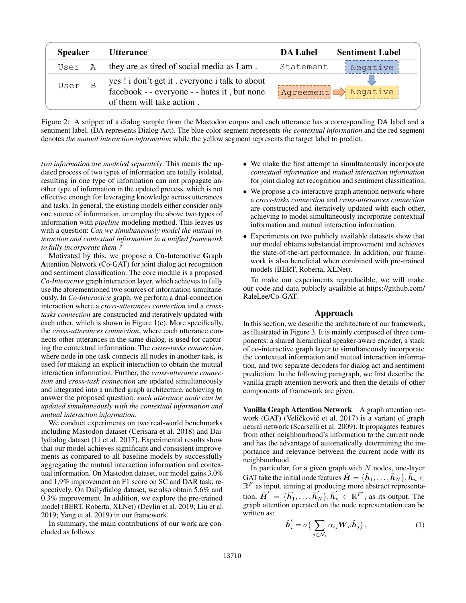| <b>Speaker</b> |  | <i><b>Utterance</b></i>                                                                                                      | <b>DA Label</b> | <b>Sentiment Label</b>                    |  |  |
|----------------|--|------------------------------------------------------------------------------------------------------------------------------|-----------------|-------------------------------------------|--|--|
| User A         |  | they are as tired of social media as I am.                                                                                   | Statement       | Negative                                  |  |  |
| User B         |  | yes ! i don't get it . everyone i talk to about<br>facebook - - everyone - - hates it, but none<br>of them will take action. |                 | $ $ Agreement $\Box \rangle$ Negative $ $ |  |  |

Figure 2: A snippet of a dialog sample from the Mastodon corpus and each utterance has a corresponding DA label and a sentiment label. (DA represents Dialog Act). The blue color segment represents *the contextual information* and the red segment denotes *the mutual interaction information* while the yellow segment represents the target label to predict.

*two information are modeled separately*. This means the updated process of two types of information are totally isolated, resulting in one type of information can not propagate another type of information in the updated process, which is not effective enough for leveraging knowledge across utterances and tasks. In general, the existing models either consider only one source of information, or employ the above two types of information with *pipeline* modeling method. This leaves us with a question: *Can we simultaneously model the mutual interaction and contextual information in a unified framework to fully incorporate them ?*

Motivated by this, we propose a Co-Interactive Graph Attention Network (Co-GAT) for joint dialog act recognition and sentiment classification. The core module is a proposed *Co-Interactive* graph interaction layer, which achieves to fully use the aforementioned two sources of information simultaneously. In *Co-Interactive* graph, we perform a dual-connection interaction where a *cross-utterances connection* and a *crosstasks connection* are constructed and iteratively updated with each other, which is shown in Figure 1(c). More specifically, the *cross-utterances connection*, where each utterance connects other utterances in the same dialog, is used for capturing the contextual information. The *cross-tasks connection*, where node in one task connects all nodes in another task, is used for making an explicit interaction to obtain the mutual interaction information. Further, the *cross-utterance connection* and *cross-task connection* are updated simultaneously and integrated into a unified graph architecture, achieving to answer the proposed question: *each utterance node can be updated simultaneously with the contextual information and mutual interaction information*.

We conduct experiments on two real-world benchmarks including Mastodon dataset (Cerisara et al. 2018) and Dailydialog dataset (Li et al. 2017). Experimental results show that our model achieves significant and consistent improvements as compared to all baseline models by successfully aggregating the mutual interaction information and contextual information. On Mastodon dataset, our model gains 3.0% and 1.9% improvement on F1 score on SC and DAR task, respectively. On Dailydialog dataset, we also obtain 5.6% and 0.3% improvement. In addition, we explore the pre-trained model (BERT, Roberta, XLNet) (Devlin et al. 2019; Liu et al. 2019; Yang et al. 2019) in our framework.

In summary, the main contributions of our work are concluded as follows:

- We make the first attempt to simultaneously incorporate *contextual information* and *mutual interaction information* for joint dialog act recognition and sentiment classification.
- We propose a co-interactive graph attention network where a *cross-tasks connection* and *cross-utterances connection* are constructed and iteratively updated with each other, achieving to model simultaneously incorporate contextual information and mutual interaction information.
- Experiments on two publicly available datasets show that our model obtains substantial improvement and achieves the state-of-the-art performance. In addition, our framework is also beneficial when combined with pre-trained models (BERT, Roberta, XLNet).

To make our experiments reproducible, we will make our code and data publicly available at https://github.com/ RaleLee/Co-GAT.

# Approach

In this section, we describe the architecture of our framework, as illustrated in Figure 3. It is mainly composed of three components: a shared hierarchical speaker-aware encoder, a stack of co-interactive graph layer to simultaneously incorporate the contextual information and mutual interaction information, and two separate decoders for dialog act and sentiment prediction. In the following paragraph, we first describe the vanilla graph attention network and then the details of other components of framework are given.

Vanilla Graph Attention Network A graph attention network (GAT) (Veličković et al. 2017) is a variant of graph neural network (Scarselli et al. 2009). It propagates features from other neighbourhood's information to the current node and has the advantage of automatically determining the importance and relevance between the current node with its neighbourhood.

In particular, for a given graph with  $N$  nodes, one-layer GAT take the initial node features  $\tilde{\bm{H}} = \{\tilde{\bm{h}}_1, \dots, \tilde{\bm{h}}_N\}, \tilde{\bm{h}}_n \in$  $\mathbb{R}^F$  as input, aiming at producing more abstract representation,  $\tilde{\boldsymbol{H}}' = \{\tilde{\boldsymbol{h}}'_1$  $\tilde{h}'_1, \ldots, \tilde{h}'_N$ ,  $\tilde{h}''_n \in \mathbb{R}^{F'}$ , as its output. The graph attention operated on the node representation can be written as:

$$
\tilde{\boldsymbol{h}}'_{i} = \sigma \big( \sum_{j \in \mathcal{N}_{i}} \alpha_{ij} \boldsymbol{W}_{h} \tilde{\boldsymbol{h}}_{j} \big), \tag{1}
$$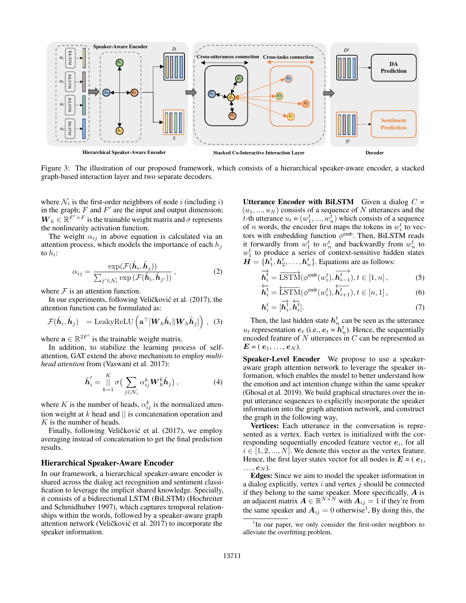

Figure 3: The illustration of our proposed framework, which consists of a hierarchical speaker-aware encoder, a stacked graph-based interaction layer and two separate decoders.

where  $\mathcal{N}_i$  is the first-order neighbors of node *i* (including *i*) in the graph;  $F$  and  $F'$  are the input and output dimension;  $W_h \in \mathbb{R}^{\tilde{F}' \times F}$  is the trainable weight matrix and  $\sigma$  represents the nonlinearity activation function.

The weight  $\alpha_{ij}$  in above equation is calculated via an attention process, which models the importance of each  $h_i$ to  $h_i$ :

$$
\alpha_{ij} = \frac{\exp(\mathcal{F}(\tilde{\boldsymbol{h}}_i, \tilde{\boldsymbol{h}}_j))}{\sum_{j' \in \mathcal{N}_i} \exp(\mathcal{F}(\tilde{\boldsymbol{h}}_i, \tilde{\boldsymbol{h}}_{j'}))},
$$
\n(2)

where  $\mathcal F$  is an attention function.

In our experiments, following Veličković et al. (2017), the attention function can be formulated as:

$$
\mathcal{F}(\tilde{\boldsymbol{h}}_i, \tilde{\boldsymbol{h}}_j) = \text{LeakyReLU}\left(\mathbf{a}^\top [\boldsymbol{W}_h \tilde{\boldsymbol{h}}_i || \boldsymbol{W}_h \tilde{\boldsymbol{h}}_j]\right), \quad (3)
$$

where  $\mathbf{a} \in \mathbb{R}^{2F'}$  is the trainable weight matrix.

In addition, to stabilize the learning process of selfattention, GAT extend the above mechanism to employ *multihead attention* from (Vaswani et al. 2017):

$$
\tilde{\boldsymbol{h}}'_{i} = \prod_{k=1}^{K} \sigma \left( \sum_{j \in \mathcal{N}_{i}} \alpha_{ij}^{k} \boldsymbol{W}_{h}^{k} \tilde{\boldsymbol{h}}_{j} \right), \tag{4}
$$

where K is the number of heads,  $\alpha_{ij}^k$  is the normalized attention weight at  $k$  head and  $||$  is concatenation operation and K is the number of heads.

Finally, following Veličković et al. (2017), we employ averaging instead of concatenation to get the final prediction results.

## Hierarchical Speaker-Aware Encoder

In our framework, a hierarchical speaker-aware encoder is shared across the dialog act recognition and sentiment classification to leverage the implicit shared knowledge. Specially, it consists of a bidirectional LSTM (BiLSTM) (Hochreiter and Schmidhuber 1997), which captures temporal relationships within the words, followed by a speaker-aware graph attention network (Veličković et al. 2017) to incorporate the speaker information.

Utterance Encoder with BiLSTM Given a dialog  $C =$  $(u_1, ..., u_N)$  consists of a sequence of N utterances and the t-th utterance  $u_t = (w_1^t, ..., w_n^t)$  which consists of a sequence of *n* words, the encoder first maps the tokens in  $w_i^t$  to vectors with embedding function  $\phi^{\text{emb}}$ . Then, BiLSTM reads it forwardly from  $w_1^t$  to  $w_n^t$  and backwardly from  $w_n^t$  to  $w_1^t$  to produce a series of context-sensitive hidden states  $\overline{H} = \{h_1^t, h_2^t, \dots, h_n^t\}$ . Equations are as follows:

$$
\overrightarrow{\mathbf{h}_{i}^{t}} = \overrightarrow{\text{LSTM}}(\phi^{\text{emb}}(w_{i}^{t}), \overrightarrow{\mathbf{h}_{i-1}^{t}}), t \in [1, n],
$$
\n
$$
\overleftarrow{\mathbf{h}_{i}^{t}} \quad \overleftarrow{\mathbf{h}_{i-1}^{t}} \quad \text{(5)}
$$

$$
\overleftarrow{\mathbf{h}_i^t} = \overleftarrow{\text{LSTM}}(\phi^{\text{emb}}(w_i^t), \overleftarrow{\mathbf{h}_{i+1}^t}), t \in [n, 1],
$$
\n(6)

$$
\boldsymbol{h}_i^t = [\boldsymbol{h}_i^t, \dot{\boldsymbol{h}}_i^t]. \tag{7}
$$

Then, the last hidden state  $h_n^t$  can be seen as the utterance  $u_t$  representation  $e_t$  (i.e.,  $e_t = h_n^t$ ). Hence, the sequentially encoded feature of  $N$  utterances in  $C$  can be represented as  $E = (e_1, ..., e_N).$ 

Speaker-Level Encoder We propose to use a speakeraware graph attention network to leverage the speaker information, which enables the model to better understand how the emotion and act intention change within the same speaker (Ghosal et al. 2019). We build graphical structures over the input utterance sequences to explicitly incorporate the speaker information into the graph attention network, and construct the graph in the following way,

Vertices: Each utterance in the conversation is represented as a vertex. Each vertex is initialized with the corresponding sequentially encoded feature vector  $e_i$ , for all  $i \in [1, 2, ..., N]$ . We denote this vector as the vertex feature. Hence, the first layer states vector for all nodes is  $E = (e_1,$  $\ldots$ ,  $e_N$ ).

Edges: Since we aim to model the speaker information in a dialog explicitly, vertex  $i$  and vertex  $j$  should be connected if they belong to the same speaker. More specifically,  $A$  is an adjacent matrix  $\mathbf{A} \in \mathbb{R}^{N \times N}$  with  $\mathbf{A}_{ij} = 1$  if they're from the same speaker and  $A_{ij} = 0$  otherwise<sup>1</sup>, By doing this, the

<sup>&</sup>lt;sup>1</sup>In our paper, we only consider the first-order neighbors to alleviate the overfitting problem.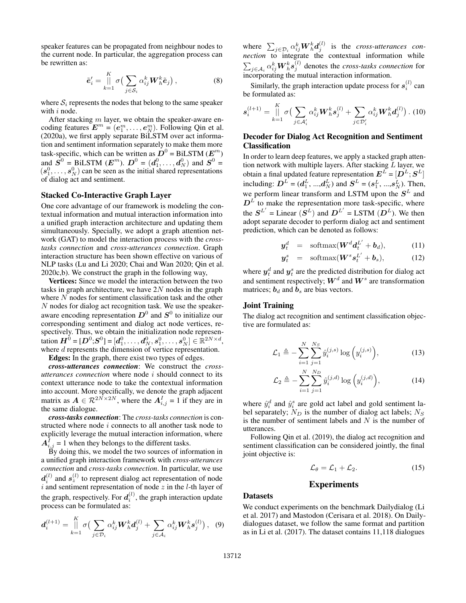speaker features can be propagated from neighbour nodes to the current node. In particular, the aggregation process can be rewritten as:

$$
\tilde{\boldsymbol{e}}'_i = \prod_{k=1}^K \sigma\big(\sum_{j \in \mathcal{S}_i} \alpha_{ij}^k \boldsymbol{W}_h^k \tilde{\boldsymbol{e}}_j\big), \tag{8}
$$

where  $S_i$  represents the nodes that belong to the same speaker with  $i$  node.

After stacking  $m$  layer, we obtain the speaker-aware encoding features  $E^m = (e_1^m, \dots, e_N^m)$ . Following Qin et al. (2020a), we first apply separate BiLSTM over act information and sentiment information separately to make them more task-specific, which can be written as  $\boldsymbol{D}^0 = \text{BiLSTM} \ (\boldsymbol{E}^m)$ and  $S^0$  = BiLSTM  $(E^m)$ .  $D^0 = (d_1^0, \dots, d_N^0)$  and  $S^0$  =  $(s_1^0, \ldots, s_N^0)$  can be seen as the initial shared representations of dialog act and sentiment.

#### Stacked Co-Interactive Graph Layer

One core advantage of our framework is modeling the contextual information and mutual interaction information into a unified graph interaction architecture and updating them simultaneously. Specially, we adopt a graph attention network (GAT) to model the interaction process with the *crosstasks connection* and *cross-utterances connection*. Graph interaction structure has been shown effective on various of NLP tasks (Lu and Li 2020; Chai and Wan 2020; Qin et al. 2020c,b). We construct the graph in the following way,

Vertices: Since we model the interaction between the two tasks in graph architecture, we have  $2N$  nodes in the graph where  $N$  nodes for sentiment classification task and the other N nodes for dialog act recognition task. We use the speakeraware encoding representation  $D^0$  and  $S^0$  to initialize our corresponding sentiment and dialog act node vertices, respectively. Thus, we obtain the initialization node representation  $\bm{H}^{0} = [\bm{D}^{0};\!\bm{S}^{0}]= [\bm{d}_{1}^{0},\ldots,\bm{d}_{N}^{0},\bm{s}_{1}^{0},\ldots,\bm{s}_{N}^{0}]\in\mathbb{R}^{2N\times d},$ where *d* represents the dimension of vertice representation.

Edges: In the graph, there exist two types of edges.

*cross-utterances connection*: We construct the *crossutterances connection* where node i should connect to its context utterance node to take the contextual information into account. More specifically, we denote the graph adjacent matrix as  $A \in \mathcal{R}^{2N \times 2N}$ , where the  $A_{i,j}^I = 1$  if they are in the same dialogue.

*cross-tasks connection*: The *cross-tasks connection* is constructed where node i connects to all another task node to explicitly leverage the mutual interaction information, where  $A_{i,j}^I = 1$  when they belongs to the different tasks.

By doing this, we model the two sources of information in a unified graph interaction framework with *cross-utterances connection* and *cross-tasks connection*. In particular, we use  $d_i^{(l)}$  and  $s_z^{(l)}$  to represent dialog act representation of node i and sentiment representation of node  $z$  in the  $l$ -th layer of the graph, respectively. For  $d_i^{(l)}$ , the graph interaction update process can be formulated as:

$$
\boldsymbol{d}_{i}^{(l+1)} = \iint\limits_{k=1}^{K} \sigma \big( \sum_{j \in \mathcal{D}_{i}} \alpha_{ij}^{k} \boldsymbol{W}_{h}^{k} \boldsymbol{d}_{j}^{(l)} + \sum_{j \in \mathcal{A}_{i}} \alpha_{ij}^{k} \boldsymbol{W}_{h}^{k} \boldsymbol{s}_{j}^{(l)} \big), \quad (9)
$$

where  $\sum_{j\in\mathcal{D}_i}\alpha_{ij}^k\bm{W}_h^k\bm{d}_j^{(l)}$  is the *cross-utterances connection* to integrate the contextual information while  $\sum_{j\in\mathcal{A}_i}\alpha_{ij}^k\bm{W}_h^k\bm{s}_j^{(l)}$  denotes the *cross-tasks connection* for incorporating the mutual interaction information.

Similarly, the graph interaction update process for  $s_i^{(l)}$  can be formulated as:

$$
\mathbf{s}_{i}^{(l+1)} = \prod_{k=1}^{K} \sigma \big( \sum_{j \in \mathcal{A}_{i}'} \alpha_{ij}^{k} \mathbf{W}_{h}^{k} \mathbf{s}_{j}^{(l)} + \sum_{j \in \mathcal{D}_{i}'} \alpha_{ij}^{k} \mathbf{W}_{h}^{k} \mathbf{d}_{j}^{(l)} \big) .
$$
 (10)

## Decoder for Dialog Act Recognition and Sentiment Classification

In order to learn deep features, we apply a stacked graph attention network with multiple layers. After stacking  $L$  layer, we obtain a final updated feature representation  $\bm{E}^L = [\bm{D}^L; \bm{S}^L]$ including:  $D^{L} = (d_1^{L}, ..., d_N^{L})$  and  $S^{L} = (s_1^{L}, ..., s_N^{L})$ . Then, we perform linear transform and LSTM upon the  $S<sup>L</sup>$  and  $D<sup>L</sup>$  to make the representation more task-specific, where the  $S^{L'}$  = Linear  $(S^L)$  and  $D^{L'}$  = LSTM  $(D^L)$ . We then adopt separate decoder to perform dialog act and sentiment prediction, which can be denoted as follows:

$$
\mathbf{y}_t^d = \text{softmax}(\mathbf{W}^d \mathbf{d}_t^{L'} + \mathbf{b}_d), \quad (11)
$$

$$
\mathbf{y}_t^s = \text{softmax}(\mathbf{W}^s \mathbf{s}_t^{L'} + \mathbf{b}_s), \quad (12)
$$

where  $\boldsymbol{y}^{d}_{t}$  and  $\boldsymbol{y}^{s}_{t}$  are the predicted distribution for dialog act and sentiment respectively;  $\boldsymbol{W}^d$  and  $\boldsymbol{W}^s$  are transformation matrices;  $\mathbf{b}_d$  and  $\mathbf{b}_s$  are bias vectors.

## Joint Training

The dialog act recognition and sentiment classification objective are formulated as:

$$
\mathcal{L}_1 \triangleq -\sum_{i=1}^{N} \sum_{j=1}^{N_S} \hat{y}_i^{(j,s)} \log \left( y_i^{(j,s)} \right),\tag{13}
$$

$$
\mathcal{L}_2 \triangleq -\sum_{i=1}^{N} \sum_{j=1}^{N_D} \hat{y}_i^{(j,d)} \log \left( y_i^{(j,d)} \right),\tag{14}
$$

where  $\hat{y}_i^d$  and  $\hat{y}_i^s$  are gold act label and gold sentiment label separately;  $N_D$  is the number of dialog act labels;  $N_S$ is the number of sentiment labels and  $N$  is the number of utterances.

Following Qin et al. (2019), the dialog act recognition and sentiment classification can be considered jointly, the final joint objective is:

$$
\mathcal{L}_{\theta} = \mathcal{L}_1 + \mathcal{L}_2. \tag{15}
$$

#### Experiments

## Datasets

We conduct experiments on the benchmark Dailydialog (Li et al. 2017) and Mastodon (Cerisara et al. 2018). On Dailydialogues dataset, we follow the same format and partition as in Li et al. (2017). The dataset contains 11,118 dialogues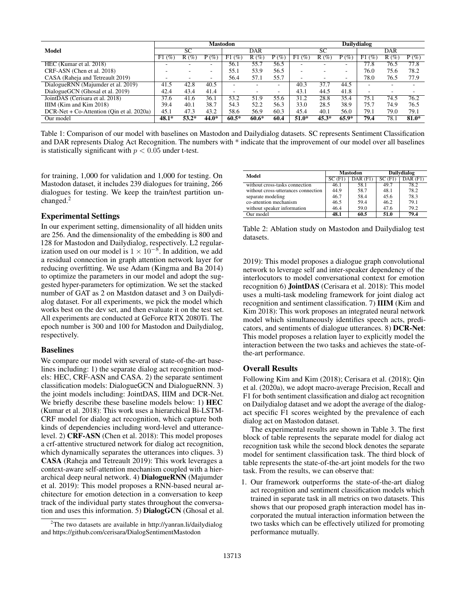|                                             | <b>Mastodon</b>          |         |         |            |         | <b>Dailydialog</b>       |           |         |         |            |         |         |
|---------------------------------------------|--------------------------|---------|---------|------------|---------|--------------------------|-----------|---------|---------|------------|---------|---------|
| Model                                       | SC                       |         |         | <b>DAR</b> |         |                          | SC        |         |         | <b>DAR</b> |         |         |
|                                             | (%<br>F1.                | R(%     | $P(\%)$ | (%)<br>F1  | $R(\%)$ | $P(\%)$                  | F1<br>(%) | $R(\%)$ | $P(\%)$ | F1(%)      | $R(\%)$ | $P(\%)$ |
| HEC (Kumar et al. 2018)                     | ۰                        |         |         | 56.1       | 55.7    | 56.5                     |           |         | -       | 77.8       | 76.5    | 77.8    |
| CRF-ASN (Chen et al. 2018)                  | $\overline{\phantom{a}}$ |         | -       | 55.1       | 53.9    | 56.5                     |           |         | ۰.      | 76.0       | 75.6    | 78.2    |
| CASA (Raheja and Tetreault 2019)            | $\overline{\phantom{a}}$ |         | -       | 56.4       | 57.1    | 55.7                     |           | -       | -       | 78.0       | 76.5    | 77.9    |
| DialogueRNN (Majumder et al. 2019)          | 41.5                     | 42.8    | 40.5    |            |         |                          | 40.3      | 37.7    | 44.5    | -          |         |         |
| DialogueGCN (Ghosal et al. 2019)            | 42.4                     | 43.4    | 41.4    | -          | -       | $\overline{\phantom{a}}$ | 43.1      | 44.5    | 41.8    | -          | -       |         |
| JointDAS (Cerisara et al. 2018)             | 37.6                     | 41.6    | 36.1    | 53.2       | 51.9    | 55.6                     | 31.2      | 28.8    | 35.4    | 75.1       | 74.5    | 76.2    |
| IIIM (Kim and Kim 2018)                     | 39.4                     | 40.1    | 38.7    | 54.3       | 52.2    | 56.3                     | 33.0      | 28.5    | 38.9    | 75.7       | 74.9    | 76.5    |
| $DCR-Net + Co-Attention (Oin et al. 2020a)$ | 45.1                     | 47.3    | 43.2    | 58.6       | 56.9    | 60.3                     | 45.4      | 40.1    | 56.0    | 79.1       | 79.0    | 79.1    |
| Our model                                   | $48.1*$                  | $53.2*$ | 44.0*   | $60.5*$    | $60.6*$ | 60.4                     | 51.0*     | $45.3*$ | $65.9*$ | 79.4       | 78.1    | $81.0*$ |

Table 1: Comparison of our model with baselines on Mastodon and Dailydialog datasets. SC represents Sentiment Classification and DAR represents Dialog Act Recognition. The numbers with \* indicate that the improvement of our model over all baselines is statistically significant with  $p < 0.05$  under t-test.

for training, 1,000 for validation and 1,000 for testing. On Mastodon dataset, it includes 239 dialogues for training, 266 dialogues for testing. We keep the train/test partition unchanged.<sup>2</sup>

#### Experimental Settings

In our experiment setting, dimensionality of all hidden units are 256. And the dimensionality of the embedding is 800 and 128 for Mastodon and Dailydialog, respectively. L2 regularization used on our model is  $1 \times 10^{-8}$ . In addition, we add a residual connection in graph attention network layer for reducing overfitting. We use Adam (Kingma and Ba 2014) to optimize the parameters in our model and adopt the suggested hyper-parameters for optimization. We set the stacked number of GAT as 2 on Mastdon dataset and 3 on Dailydialog dataset. For all experiments, we pick the model which works best on the dev set, and then evaluate it on the test set. All experiments are conducted at GeForce RTX 2080Ti. The epoch number is 300 and 100 for Mastodon and Dailydialog, respectively.

#### Baselines

We compare our model with several of state-of-the-art baselines including: 1) the separate dialog act recognition models: HEC, CRF-ASN and CASA. 2) the separate sentiment classification models: DialogueGCN and DialogueRNN. 3) the joint models including: JointDAS, IIIM and DCR-Net. We briefly describe these baseline models below: 1) HEC (Kumar et al. 2018): This work uses a hierarchical Bi-LSTM-CRF model for dialog act recognition, which capture both kinds of dependencies including word-level and utterancelevel. 2) CRF-ASN (Chen et al. 2018): This model proposes a crf-attentive structured network for dialog act recognition, which dynamically separates the utterances into cliques. 3) CASA (Raheja and Tetreault 2019): This work leverages a context-aware self-attention mechanism coupled with a hierarchical deep neural network. 4) DialogueRNN (Majumder et al. 2019): This model proposes a RNN-based neural architecture for emotion detection in a conversation to keep track of the individual party states throughout the conversation and uses this information. 5) DialogGCN (Ghosal et al.

| Model                               |        | <b>Mastodon</b> | Dailydialog |              |  |
|-------------------------------------|--------|-----------------|-------------|--------------|--|
|                                     | SC(F1) | $DAR$ $(F1)$    | SC(F1)      | $DAR$ $(F1)$ |  |
| without cross-tasks connection      | 46.1   | 58.1            | 49.7        | 78.2         |  |
| without cross-utterances connection | 44.9   | 58.7            | 48.1        | 78.2         |  |
| separate modeling                   | 46.7   | 58.4            | 45.6        | 78.3         |  |
| co-attention mechanism              | 46.5   | 59.4            | 46.2        | 79.1         |  |
| without speaker information         | 46.4   | 59.0            | 47.6        | 79.2         |  |
| Our model                           | 48.1   | 60.5            | 51.0        | 79.4         |  |

Table 2: Ablation study on Mastodon and Dailydialog test datasets.

2019): This model proposes a dialogue graph convolutional network to leverage self and inter-speaker dependency of the interlocutors to model conversational context for emotion recognition 6) JointDAS (Cerisara et al. 2018): This model uses a multi-task modeling framework for joint dialog act recognition and sentiment classification. 7) IIIM (Kim and Kim 2018): This work proposes an integrated neural network model which simultaneously identifies speech acts, predicators, and sentiments of dialogue utterances. 8) DCR-Net: This model proposes a relation layer to explicitly model the interaction between the two tasks and achieves the state-ofthe-art performance.

# Overall Results

Following Kim and Kim (2018); Cerisara et al. (2018); Qin et al. (2020a), we adopt macro-average Precision, Recall and F1 for both sentiment classification and dialog act recognition on Dailydialog dataset and we adopt the average of the dialogact specific F1 scores weighted by the prevalence of each dialog act on Mastodon dataset.

The experimental results are shown in Table 3. The first block of table represents the separate model for dialog act recognition task while the second block denotes the separate model for sentiment classification task. The third block of table represents the state-of-the-art joint models for the two task. From the results, we can observe that:

1. Our framework outperforms the state-of-the-art dialog act recognition and sentiment classification models which trained in separate task in all metrics on two datasets. This shows that our proposed graph interaction model has incorporated the mutual interaction information between the two tasks which can be effectively utilized for promoting performance mutually.

<sup>&</sup>lt;sup>2</sup>The two datasets are available in http://yanran.li/dailydialog and https://github.com/cerisara/DialogSentimentMastodon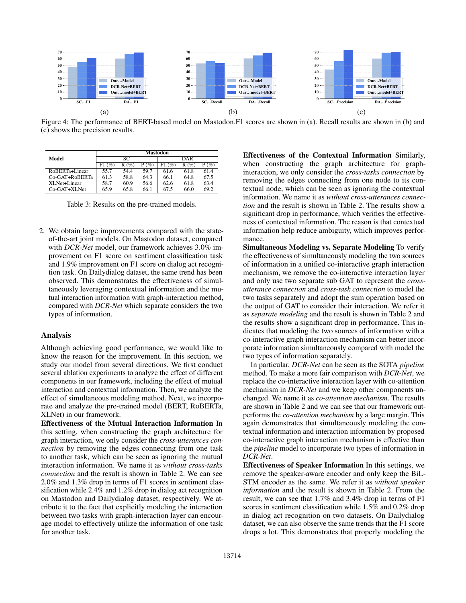

Figure 4: The performance of BERT-based model on Mastodon.F1 scores are shown in (a). Recall results are shown in (b) and (c) shows the precision results.

|                | Mastodon          |      |             |            |         |       |  |  |  |
|----------------|-------------------|------|-------------|------------|---------|-------|--|--|--|
| Model          |                   | SС   |             | DAR        |         |       |  |  |  |
|                | $\sqrt{\%}$<br>F۱ | R(%  | $\sqrt{\%}$ | $\%$<br>F١ | $R(\%)$ | $Q_0$ |  |  |  |
| RoBERTa+Linear | 55.7              | 544  | 59.7        | 61.6       | 61.8    | 614   |  |  |  |
| Co-GAT+RoBERTa | 61.3              | 58.8 | 64.3        | 66.1       | 64.8    | 67.5  |  |  |  |
| XLNet+Linear   | 58.7              | 60.9 | 56.6        | 62.6       | 61.8    | 63.4  |  |  |  |
| Co-GAT+XLNet   | 65.9              | 65.8 | 66.1        | 67.5       | 66.0    | 69.2  |  |  |  |

Table 3: Results on the pre-trained models.

2. We obtain large improvements compared with the stateof-the-art joint models. On Mastodon dataset, compared with *DCR-Net* model, our framework achieves 3.0% improvement on F1 score on sentiment classification task and 1.9% improvement on F1 score on dialog act recognition task. On Dailydialog dataset, the same trend has been observed. This demonstrates the effectiveness of simultaneously leveraging contextual information and the mutual interaction information with graph-interaction method, compared with *DCR-Net* which separate considers the two types of information.

#### Analysis

Although achieving good performance, we would like to know the reason for the improvement. In this section, we study our model from several directions. We first conduct several ablation experiments to analyze the effect of different components in our framework, including the effect of mutual interaction and contextual information. Then, we analyze the effect of simultaneous modeling method. Next, we incorporate and analyze the pre-trained model (BERT, RoBERTa, XLNet) in our framework.

Effectiveness of the Mutual Interaction Information In this setting, when constructing the graph architecture for graph interaction, we only consider the *cross-utterances connection* by removing the edges connecting from one task to another task, which can be seen as ignoring the mutual interaction information. We name it as *without cross-tasks connection* and the result is shown in Table 2. We can see 2.0% and 1.3% drop in terms of F1 scores in sentiment classification while 2.4% and 1.2% drop in dialog act recognition on Mastodon and Dailydialog dataset, respectively. We attribute it to the fact that explicitly modeling the interaction between two tasks with graph-interaction layer can encourage model to effectively utilize the information of one task for another task.

Effectiveness of the Contextual Information Similarly, when constructing the graph architecture for graphinteraction, we only consider the *cross-tasks connection* by removing the edges connecting from one node to its contextual node, which can be seen as ignoring the contextual information. We name it as *without cross-utterances connection* and the result is shown in Table 2. The results show a significant drop in performance, which verifies the effectiveness of contextual information. The reason is that contextual information help reduce ambiguity, which improves performance.

Simultaneous Modeling vs. Separate Modeling To verify the effectiveness of simultaneously modeling the two sources of information in a unified co-interactive graph interaction mechanism, we remove the co-interactive interaction layer and only use two separate sub GAT to represent the *crossutterance connection* and *cross-task connection* to model the two tasks separately and adopt the sum operation based on the output of GAT to consider their interaction. We refer it as *separate modeling* and the result is shown in Table 2 and the results show a significant drop in performance. This indicates that modeling the two sources of information with a co-interactive graph interaction mechanism can better incorporate information simultaneously compared with model the two types of information separately.

In particular, *DCR-Net* can be seen as the SOTA *pipeline* method. To make a more fair comparison with *DCR-Net*, we replace the co-interactive interaction layer with co-attention mechanism in *DCR-Net* and we keep other components unchanged. We name it as *co-attention mechanism*. The results are shown in Table 2 and we can see that our framework outperforms the *co-attention mechanism* by a large margin. This again demonstrates that simultaneously modeling the contextual information and interaction information by proposed co-interactive graph interaction mechanism is effective than the *pipeline* model to incorporate two types of information in *DCR-Net*.

Effectiveness of Speaker Information In this settings, we remove the speaker-aware encoder and only keep the BiL-STM encoder as the same. We refer it as *without speaker information* and the result is shown in Table 2. From the result, we can see that 1.7% and 3.4% drop in terms of F1 scores in sentiment classification while 1.5% and 0.2% drop in dialog act recognition on two datasets. On Dailydialog dataset, we can also observe the same trends that the F1 score drops a lot. This demonstrates that properly modeling the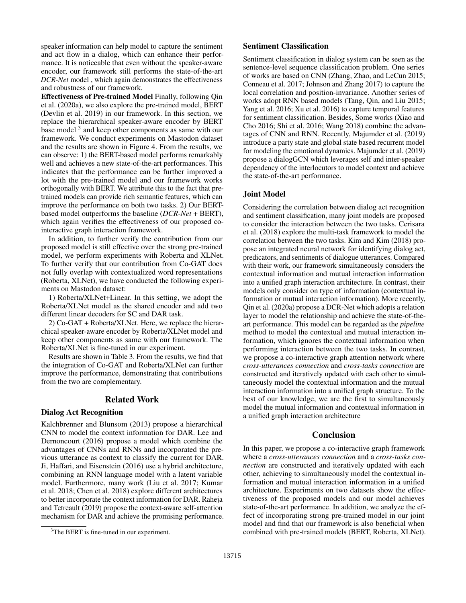speaker information can help model to capture the sentiment and act flow in a dialog, which can enhance their performance. It is noticeable that even without the speaker-aware encoder, our framework still performs the state-of-the-art *DCR-Net* model , which again demonstrates the effectiveness and robustness of our framework.

Effectiveness of Pre-trained Model Finally, following Qin et al. (2020a), we also explore the pre-trained model, BERT (Devlin et al. 2019) in our framework. In this section, we replace the hierarchical speaker-aware encoder by BERT base model<sup>3</sup> and keep other components as same with our framework. We conduct experiments on Mastodon dataset and the results are shown in Figure 4. From the results, we can observe: 1) the BERT-based model performs remarkably well and achieves a new state-of-the-art performances. This indicates that the performance can be further improved a lot with the pre-trained model and our framework works orthogonally with BERT. We attribute this to the fact that pretrained models can provide rich semantic features, which can improve the performance on both two tasks. 2) Our BERTbased model outperforms the baseline (*DCR-Net* + BERT), which again verifies the effectiveness of our proposed cointeractive graph interaction framework.

In addition, to further verify the contribution from our proposed model is still effective over the strong pre-trained model, we perform experiments with Roberta and XLNet. To further verify that our contribution from Co-GAT does not fully overlap with contextualized word representations (Roberta, XLNet), we have conducted the following experiments on Mastodon dataset:

1) Roberta/XLNet+Linear. In this setting, we adopt the Roberta/XLNet model as the shared encoder and add two different linear decoders for SC and DAR task.

2) Co-GAT + Roberta/XLNet. Here, we replace the hierarchical speaker-aware encoder by Roberta/XLNet model and keep other components as same with our framework. The Roberta/XLNet is fine-tuned in our experiment.

Results are shown in Table 3. From the results, we find that the integration of Co-GAT and Roberta/XLNet can further improve the performance, demonstrating that contributions from the two are complementary.

#### Related Work

## Dialog Act Recognition

Kalchbrenner and Blunsom (2013) propose a hierarchical CNN to model the context information for DAR. Lee and Dernoncourt (2016) propose a model which combine the advantages of CNNs and RNNs and incorporated the previous utterance as context to classify the current for DAR. Ji, Haffari, and Eisenstein (2016) use a hybrid architecture, combining an RNN language model with a latent variable model. Furthermore, many work (Liu et al. 2017; Kumar et al. 2018; Chen et al. 2018) explore different architectures to better incorporate the context information for DAR. Raheja and Tetreault (2019) propose the context-aware self-attention mechanism for DAR and achieve the promising performance.

#### Sentiment Classification

Sentiment classification in dialog system can be seen as the sentence-level sequence classification problem. One series of works are based on CNN (Zhang, Zhao, and LeCun 2015; Conneau et al. 2017; Johnson and Zhang 2017) to capture the local correlation and position-invariance. Another series of works adopt RNN based models (Tang, Qin, and Liu 2015; Yang et al. 2016; Xu et al. 2016) to capture temporal features for sentiment classification. Besides, Some works (Xiao and Cho 2016; Shi et al. 2016; Wang 2018) combine the advantages of CNN and RNN. Recently, Majumder et al. (2019) introduce a party state and global state based recurrent model for modeling the emotional dynamics. Majumder et al. (2019) propose a dialogGCN which leverages self and inter-speaker dependency of the interlocutors to model context and achieve the state-of-the-art performance.

#### Joint Model

Considering the correlation between dialog act recognition and sentiment classification, many joint models are proposed to consider the interaction between the two tasks. Cerisara et al. (2018) explore the multi-task framework to model the correlation between the two tasks. Kim and Kim (2018) propose an integrated neural network for identifying dialog act, predicators, and sentiments of dialogue utterances. Compared with their work, our framework simultaneously considers the contextual information and mutual interaction information into a unified graph interaction architecture. In contrast, their models only consider on type of information (contextual information or mutual interaction information). More recently, Qin et al. (2020a) propose a DCR-Net which adopts a relation layer to model the relationship and achieve the state-of-theart performance. This model can be regarded as the *pipeline* method to model the contextual and mutual interaction information, which ignores the contextual information when performing interaction between the two tasks. In contrast, we propose a co-interactive graph attention network where *cross-utterances connection* and *cross-tasks connection* are constructed and iteratively updated with each other to simultaneously model the contextual information and the mutual interaction information into a unified graph structure. To the best of our knowledge, we are the first to simultaneously model the mutual information and contextual information in a unified graph interaction architecture

# Conclusion

In this paper, we propose a co-interactive graph framework where a *cross-utterances connection* and a *cross-tasks connection* are constructed and iteratively updated with each other, achieving to simultaneously model the contextual information and mutual interaction information in a unified architecture. Experiments on two datasets show the effectiveness of the proposed models and our model achieves state-of-the-art performance. In addition, we analyze the effect of incorporating strong pre-trained model in our joint model and find that our framework is also beneficial when combined with pre-trained models (BERT, Roberta, XLNet).

<sup>&</sup>lt;sup>3</sup>The BERT is fine-tuned in our experiment.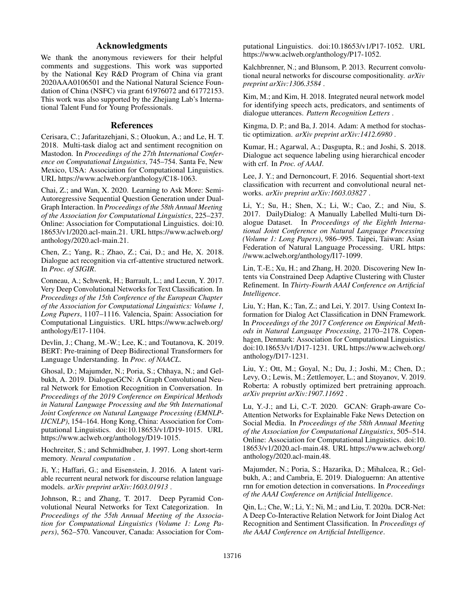# Acknowledgments

We thank the anonymous reviewers for their helpful comments and suggestions. This work was supported by the National Key R&D Program of China via grant 2020AAA0106501 and the National Natural Science Foundation of China (NSFC) via grant 61976072 and 61772153. This work was also supported by the Zhejiang Lab's International Talent Fund for Young Professionals.

#### References

Cerisara, C.; Jafaritazehjani, S.; Oluokun, A.; and Le, H. T. 2018. Multi-task dialog act and sentiment recognition on Mastodon. In *Proceedings of the 27th International Conference on Computational Linguistics*, 745–754. Santa Fe, New Mexico, USA: Association for Computational Linguistics. URL https://www.aclweb.org/anthology/C18-1063.

Chai, Z.; and Wan, X. 2020. Learning to Ask More: Semi-Autoregressive Sequential Question Generation under Dual-Graph Interaction. In *Proceedings of the 58th Annual Meeting of the Association for Computational Linguistics*, 225–237. Online: Association for Computational Linguistics. doi:10. 18653/v1/2020.acl-main.21. URL https://www.aclweb.org/ anthology/2020.acl-main.21.

Chen, Z.; Yang, R.; Zhao, Z.; Cai, D.; and He, X. 2018. Dialogue act recognition via crf-attentive structured network. In *Proc. of SIGIR*.

Conneau, A.; Schwenk, H.; Barrault, L.; and Lecun, Y. 2017. Very Deep Convolutional Networks for Text Classification. In *Proceedings of the 15th Conference of the European Chapter of the Association for Computational Linguistics: Volume 1, Long Papers*, 1107–1116. Valencia, Spain: Association for Computational Linguistics. URL https://www.aclweb.org/ anthology/E17-1104.

Devlin, J.; Chang, M.-W.; Lee, K.; and Toutanova, K. 2019. BERT: Pre-training of Deep Bidirectional Transformers for Language Understanding. In *Proc. of NAACL*.

Ghosal, D.; Majumder, N.; Poria, S.; Chhaya, N.; and Gelbukh, A. 2019. DialogueGCN: A Graph Convolutional Neural Network for Emotion Recognition in Conversation. In *Proceedings of the 2019 Conference on Empirical Methods in Natural Language Processing and the 9th International Joint Conference on Natural Language Processing (EMNLP-IJCNLP)*, 154–164. Hong Kong, China: Association for Computational Linguistics. doi:10.18653/v1/D19-1015. URL https://www.aclweb.org/anthology/D19-1015.

Hochreiter, S.; and Schmidhuber, J. 1997. Long short-term memory. *Neural computation* .

Ji, Y.; Haffari, G.; and Eisenstein, J. 2016. A latent variable recurrent neural network for discourse relation language models. *arXiv preprint arXiv:1603.01913* .

Johnson, R.; and Zhang, T. 2017. Deep Pyramid Convolutional Neural Networks for Text Categorization. In *Proceedings of the 55th Annual Meeting of the Association for Computational Linguistics (Volume 1: Long Papers)*, 562–570. Vancouver, Canada: Association for Computational Linguistics. doi:10.18653/v1/P17-1052. URL https://www.aclweb.org/anthology/P17-1052.

Kalchbrenner, N.; and Blunsom, P. 2013. Recurrent convolutional neural networks for discourse compositionality. *arXiv preprint arXiv:1306.3584* .

Kim, M.; and Kim, H. 2018. Integrated neural network model for identifying speech acts, predicators, and sentiments of dialogue utterances. *Pattern Recognition Letters* .

Kingma, D. P.; and Ba, J. 2014. Adam: A method for stochastic optimization. *arXiv preprint arXiv:1412.6980* .

Kumar, H.; Agarwal, A.; Dasgupta, R.; and Joshi, S. 2018. Dialogue act sequence labeling using hierarchical encoder with crf. In *Proc. of AAAI*.

Lee, J. Y.; and Dernoncourt, F. 2016. Sequential short-text classification with recurrent and convolutional neural networks. *arXiv preprint arXiv:1603.03827* .

Li, Y.; Su, H.; Shen, X.; Li, W.; Cao, Z.; and Niu, S. 2017. DailyDialog: A Manually Labelled Multi-turn Dialogue Dataset. In *Proceedings of the Eighth International Joint Conference on Natural Language Processing (Volume 1: Long Papers)*, 986–995. Taipei, Taiwan: Asian Federation of Natural Language Processing. URL https: //www.aclweb.org/anthology/I17-1099.

Lin, T.-E.; Xu, H.; and Zhang, H. 2020. Discovering New Intents via Constrained Deep Adaptive Clustering with Cluster Refinement. In *Thirty-Fourth AAAI Conference on Artificial Intelligence*.

Liu, Y.; Han, K.; Tan, Z.; and Lei, Y. 2017. Using Context Information for Dialog Act Classification in DNN Framework. In *Proceedings of the 2017 Conference on Empirical Methods in Natural Language Processing*, 2170–2178. Copenhagen, Denmark: Association for Computational Linguistics. doi:10.18653/v1/D17-1231. URL https://www.aclweb.org/ anthology/D17-1231.

Liu, Y.; Ott, M.; Goyal, N.; Du, J.; Joshi, M.; Chen, D.; Levy, O.; Lewis, M.; Zettlemoyer, L.; and Stoyanov, V. 2019. Roberta: A robustly optimized bert pretraining approach. *arXiv preprint arXiv:1907.11692* .

Lu, Y.-J.; and Li, C.-T. 2020. GCAN: Graph-aware Co-Attention Networks for Explainable Fake News Detection on Social Media. In *Proceedings of the 58th Annual Meeting of the Association for Computational Linguistics*, 505–514. Online: Association for Computational Linguistics. doi:10. 18653/v1/2020.acl-main.48. URL https://www.aclweb.org/ anthology/2020.acl-main.48.

Majumder, N.; Poria, S.; Hazarika, D.; Mihalcea, R.; Gelbukh, A.; and Cambria, E. 2019. Dialoguernn: An attentive rnn for emotion detection in conversations. In *Proceedings of the AAAI Conference on Artificial Intelligence*.

Qin, L.; Che, W.; Li, Y.; Ni, M.; and Liu, T. 2020a. DCR-Net: A Deep Co-Interactive Relation Network for Joint Dialog Act Recognition and Sentiment Classification. In *Proceedings of the AAAI Conference on Artificial Intelligence*.